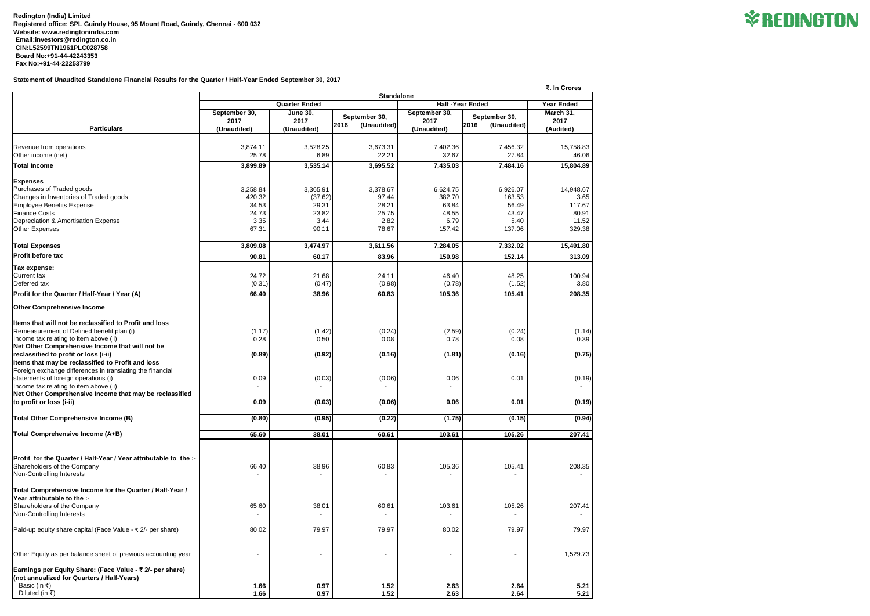**Redington (India) Limited Registered office: SPL Guindy House, 95 Mount Road, Guindy, Chennai - 600 032 Website: [www.redingtonindia.com](http://www.redingtonindia.com) [Email:investors@redington.co.in](mailto:Email:investors@redington.co.in) CIN:L52599TN1961PLC028758 Board No:+91-44-42243353 Fax No:+91-44-22253799**

## **Statement of Unaudited Standalone Financial Results for the Quarter / Half-Year Ended September 30, 2017**

 **₹. In Crores**

|                                                                                                                | <b>Standalone</b>                              |                |                     |                |                     |                   |  |  |
|----------------------------------------------------------------------------------------------------------------|------------------------------------------------|----------------|---------------------|----------------|---------------------|-------------------|--|--|
|                                                                                                                | <b>Half-Year Ended</b><br><b>Quarter Ended</b> |                |                     |                |                     | <b>Year Ended</b> |  |  |
|                                                                                                                | September 30,                                  | June $30,$     | September 30,       | September 30,  | September 30,       | March 31,         |  |  |
|                                                                                                                | 2017                                           | 2017           | (Unaudited)<br>2016 | 2017           | (Unaudited)<br>2016 | 2017              |  |  |
| <b>Particulars</b>                                                                                             | (Unaudited)                                    | (Unaudited)    |                     | (Unaudited)    |                     | (Audited)         |  |  |
| Revenue from operations                                                                                        | 3,874.11                                       | 3,528.25       | 3,673.31            | 7,402.36       | 7,456.32            | 15,758.83         |  |  |
| Other income (net)                                                                                             | 25.78                                          | 6.89           | 22.21               | 32.67          | 27.84               | 46.06             |  |  |
| Total Income                                                                                                   | 3,899.89                                       | 3,535.14       | 3,695.52            | 7,435.03       | 7,484.16            | 15,804.89         |  |  |
|                                                                                                                |                                                |                |                     |                |                     |                   |  |  |
| <b>Expenses</b>                                                                                                |                                                |                |                     |                |                     |                   |  |  |
| Purchases of Traded goods                                                                                      | 3,258.84                                       | 3,365.91       | 3,378.67            | 6,624.75       | 6,926.07            | 14,948.67         |  |  |
| Changes in Inventories of Traded goods                                                                         | 420.32                                         | (37.62)        | 97.44               | 382.70         | 163.53              | 3.65              |  |  |
| <b>Employee Benefits Expense</b><br><b>Finance Costs</b>                                                       | 34.53<br>24.73                                 | 29.31<br>23.82 | 28.21<br>25.75      | 63.84<br>48.55 | 56.49<br>43.47      | 117.67<br>80.91   |  |  |
| Depreciation & Amortisation Expense                                                                            | 3.35                                           | 3.44           | 2.82                | 6.79           | 5.40                | 11.52             |  |  |
| <b>Other Expenses</b>                                                                                          | 67.31                                          | 90.11          | 78.67               | 157.42         | 137.06              | 329.38            |  |  |
|                                                                                                                |                                                |                |                     |                |                     |                   |  |  |
| <b>Total Expenses</b>                                                                                          | 3,809.08                                       | 3,474.97       | 3,611.56            | 7,284.05       | 7,332.02            | 15,491.80         |  |  |
| <b>Profit before tax</b>                                                                                       | 90.81                                          | 60.17          | 83.96               | 150.98         | 152.14              | 313.09            |  |  |
| Tax expense:                                                                                                   |                                                |                |                     |                |                     |                   |  |  |
| <b>Current tax</b>                                                                                             | 24.72                                          | 21.68          | 24.11               | 46.40          | 48.25               | 100.94            |  |  |
| Deferred tax                                                                                                   | (0.31)                                         | (0.47)         | (0.98)              | (0.78)         | (1.52)              | 3.80              |  |  |
| Profit for the Quarter / Half-Year / Year (A)                                                                  | 66.40                                          | 38.96          | 60.83               | 105.36         | 105.41              | 208.35            |  |  |
| <b>Other Comprehensive Income</b>                                                                              |                                                |                |                     |                |                     |                   |  |  |
| Items that will not be reclassified to Profit and loss                                                         |                                                |                |                     |                |                     |                   |  |  |
| Remeasurement of Defined benefit plan (i)                                                                      | (1.17)                                         | (1.42)         | (0.24)              | (2.59)         | (0.24)              | (1.14)            |  |  |
| Income tax relating to item above (ii)                                                                         | 0.28                                           | 0.50           | 0.08                | 0.78           | 0.08                | 0.39              |  |  |
| Net Other Comprehensive Income that will not be                                                                |                                                |                |                     |                |                     |                   |  |  |
| reclassified to profit or loss (i-ii)                                                                          | (0.89)                                         | (0.92)         | (0.16)              | (1.81)         | (0.16)              | (0.75)            |  |  |
| Items that may be reclassified to Profit and loss<br>Foreign exchange differences in translating the financial |                                                |                |                     |                |                     |                   |  |  |
| statements of foreign operations (i)                                                                           | 0.09                                           | (0.03)         | (0.06)              | 0.06           | 0.01                | (0.19)            |  |  |
| Income tax relating to item above (ii)                                                                         |                                                |                |                     |                |                     |                   |  |  |
| Net Other Comprehensive Income that may be reclassified                                                        |                                                |                |                     |                |                     |                   |  |  |
| to profit or loss (i-ii)                                                                                       | 0.09                                           | (0.03)         | (0.06)              | 0.06           | 0.01                | (0.19)            |  |  |
| Total Other Comprehensive Income (B)                                                                           | (0.80)                                         | (0.95)         | (0.22)              | (1.75)         | (0.15)              | (0.94)            |  |  |
|                                                                                                                |                                                |                |                     |                |                     |                   |  |  |
| Total Comprehensive Income (A+B)                                                                               | 65.60                                          | 38.01          | 60.61               | 103.61         | 105.26              | 207.41            |  |  |
|                                                                                                                |                                                |                |                     |                |                     |                   |  |  |
| Profit for the Quarter / Half-Year / Year attributable to the :-                                               |                                                |                |                     |                |                     |                   |  |  |
| Shareholders of the Company                                                                                    | 66.40                                          | 38.96          | 60.83               | 105.36         | 105.41              | 208.35            |  |  |
| Non-Controlling Interests                                                                                      |                                                |                |                     |                |                     |                   |  |  |
|                                                                                                                |                                                |                |                     |                |                     |                   |  |  |
| Total Comprehensive Income for the Quarter / Half-Year /                                                       |                                                |                |                     |                |                     |                   |  |  |
| Year attributable to the :-<br>Shareholders of the Company                                                     | 65.60                                          | 38.01          | 60.61               | 103.61         | 105.26              | 207.41            |  |  |
| Non-Controlling Interests                                                                                      |                                                |                |                     |                |                     |                   |  |  |
|                                                                                                                |                                                |                |                     |                |                     |                   |  |  |
| Paid-up equity share capital (Face Value - ₹ 2/- per share)                                                    | 80.02                                          | 79.97          | 79.97               | 80.02          | 79.97               | 79.97             |  |  |
| Other Equity as per balance sheet of previous accounting year                                                  |                                                |                | $\blacksquare$      |                |                     | 1,529.73          |  |  |
|                                                                                                                |                                                |                |                     |                |                     |                   |  |  |
| Earnings per Equity Share: (Face Value - ₹ 2/- per share)<br>(not annualized for Quarters / Half-Years)        |                                                |                |                     |                |                     |                   |  |  |
| Basic (in ₹)                                                                                                   | 1.66                                           | 0.97           | 1.52                | 2.63           | 2.64                | 5.21              |  |  |
| Diluted (in ₹)                                                                                                 | 1.66                                           | 0.97           | 1.52                | 2.63           | 2.64                | 5.21              |  |  |

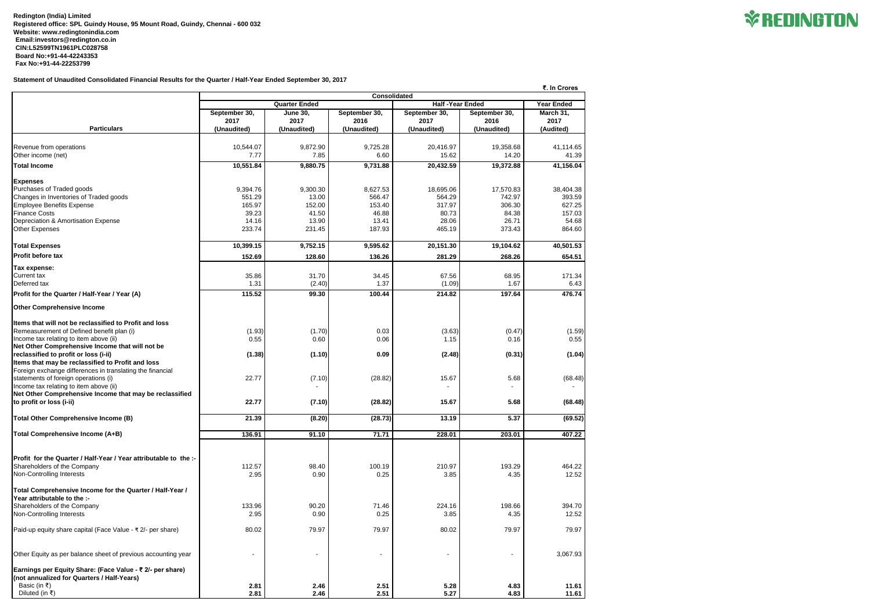**Redington (India) Limited Registered office: SPL Guindy House, 95 Mount Road, Guindy, Chennai - 600 032 Website: [www.redingtonindia.com](http://www.redingtonindia.com) [Email:investors@redington.co.in](mailto:Email:investors@redington.co.in) CIN:L52599TN1961PLC028758 Board No:+91-44-42243353 Fax No:+91-44-22253799**

## **Statement of Unaudited Consolidated Financial Results for the Quarter / Half-Year Ended September 30, 2017**

|                                                                  |               | ₹. In Crores<br><b>Consolidated</b> |               |                        |               |                   |
|------------------------------------------------------------------|---------------|-------------------------------------|---------------|------------------------|---------------|-------------------|
|                                                                  |               | <b>Quarter Ended</b>                |               | <b>Half-Year Ended</b> |               | <b>Year Ended</b> |
|                                                                  | September 30, | <b>June 30,</b>                     | September 30, | September 30,          | September 30, | March 31,         |
|                                                                  | 2017          | 2017                                | 2016          | 2017                   | 2016          | 2017              |
| <b>Particulars</b>                                               | (Unaudited)   | (Unaudited)                         | (Unaudited)   | (Unaudited)            | (Unaudited)   | (Audited)         |
|                                                                  |               |                                     |               |                        |               |                   |
| Revenue from operations                                          | 10,544.07     | 9,872.90                            | 9,725.28      | 20,416.97              | 19,358.68     | 41,114.65         |
| Other income (net)                                               | 7.77          | 7.85                                | 6.60          | 15.62                  | 14.20         | 41.39             |
| Total Income                                                     | 10,551.84     | 9,880.75                            | 9,731.88      | 20,432.59              | 19,372.88     | 41,156.04         |
| <b>Expenses</b>                                                  |               |                                     |               |                        |               |                   |
| Purchases of Traded goods                                        | 9,394.76      | 9,300.30                            | 8,627.53      | 18,695.06              | 17,570.83     | 38,404.38         |
| Changes in Inventories of Traded goods                           | 551.29        | 13.00                               | 566.47        | 564.29                 | 742.97        | 393.59            |
| <b>Employee Benefits Expense</b>                                 | 165.97        | 152.00                              | 153.40        | 317.97                 | 306.30        | 627.25            |
| <b>Finance Costs</b>                                             | 39.23         | 41.50                               | 46.88         | 80.73                  | 84.38         | 157.03            |
| Depreciation & Amortisation Expense                              | 14.16         | 13.90                               | 13.41         | 28.06                  | 26.71         | 54.68             |
| <b>Other Expenses</b>                                            | 233.74        | 231.45                              | 187.93        | 465.19                 | 373.43        | 864.60            |
| <b>Total Expenses</b>                                            | 10,399.15     | 9,752.15                            | 9,595.62      | 20,151.30              | 19,104.62     | 40,501.53         |
| <b>Profit before tax</b>                                         | 152.69        | 128.60                              | 136.26        | 281.29                 | 268.26        | 654.51            |
| Tax expense:                                                     |               |                                     |               |                        |               |                   |
| <b>Current tax</b>                                               | 35.86         | 31.70                               | 34.45         | 67.56                  | 68.95         | 171.34            |
| Deferred tax                                                     | 1.31          | (2.40)                              | 1.37          | (1.09)                 | 1.67          | 6.43              |
| Profit for the Quarter / Half-Year / Year (A)                    | 115.52        | 99.30                               | 100.44        | 214.82                 | 197.64        | 476.74            |
| <b>Other Comprehensive Income</b>                                |               |                                     |               |                        |               |                   |
| Items that will not be reclassified to Profit and loss           |               |                                     |               |                        |               |                   |
| Remeasurement of Defined benefit plan (i)                        | (1.93)        | (1.70)                              | 0.03          | (3.63)                 | (0.47)        | (1.59)            |
| Income tax relating to item above (ii)                           | 0.55          | 0.60                                | 0.06          | 1.15                   | 0.16          | 0.55              |
| Net Other Comprehensive Income that will not be                  |               |                                     |               |                        |               |                   |
| reclassified to profit or loss (i-ii)                            | (1.38)        | (1.10)                              | 0.09          | (2.48)                 | (0.31)        | (1.04)            |
| Items that may be reclassified to Profit and loss                |               |                                     |               |                        |               |                   |
| Foreign exchange differences in translating the financial        |               |                                     |               |                        |               |                   |
| statements of foreign operations (i)                             | 22.77         | (7.10)                              | (28.82)       | 15.67                  | 5.68          | (68.48)           |
| Income tax relating to item above (ii)                           |               |                                     |               |                        |               |                   |
| Net Other Comprehensive Income that may be reclassified          |               |                                     |               |                        |               |                   |
| to profit or loss (i-ii)                                         | 22.77         | (7.10)                              | (28.82)       | 15.67                  | 5.68          | (68.48)           |
| <b>Total Other Comprehensive Income (B)</b>                      | 21.39         | (8.20)                              | (28.73)       | 13.19                  | 5.37          | (69.52)           |
| Total Comprehensive Income (A+B)                                 | 136.91        | 91.10                               | 71.71         | 228.01                 | 203.01        | 407.22            |
|                                                                  |               |                                     |               |                        |               |                   |
| Profit for the Quarter / Half-Year / Year attributable to the :- |               |                                     |               |                        |               |                   |
| Shareholders of the Company                                      | 112.57        | 98.40                               | 100.19        | 210.97                 | 193.29        | 464.22            |
| Non-Controlling Interests                                        | 2.95          | 0.90                                | 0.25          | 3.85                   | 4.35          | 12.52             |
| Total Comprehensive Income for the Quarter / Half-Year /         |               |                                     |               |                        |               |                   |
| Year attributable to the :-                                      |               |                                     |               |                        |               |                   |
| Shareholders of the Company                                      | 133.96        | 90.20                               | 71.46         | 224.16                 | 198.66        | 394.70            |
| Non-Controlling Interests                                        | 2.95          | 0.90                                | 0.25          | 3.85                   | 4.35          | 12.52             |
|                                                                  |               |                                     |               |                        |               |                   |
| Paid-up equity share capital (Face Value - ₹ 2/- per share)      | 80.02         | 79.97                               | 79.97         | 80.02                  | 79.97         | 79.97             |
| Other Equity as per balance sheet of previous accounting year    |               | $\overline{\phantom{a}}$            |               |                        |               | 3,067.93          |
| Earnings per Equity Share: (Face Value - ₹ 2/- per share)        |               |                                     |               |                        |               |                   |
| (not annualized for Quarters / Half-Years)                       |               |                                     |               |                        |               |                   |
| Basic (in ₹)                                                     | 2.81          | 2.46                                | 2.51          | 5.28                   | 4.83          | 11.61             |
| Diluted (in ₹)                                                   | 2.81          | 2.46                                | 2.51          | 5.27                   | 4.83          | 11.61             |